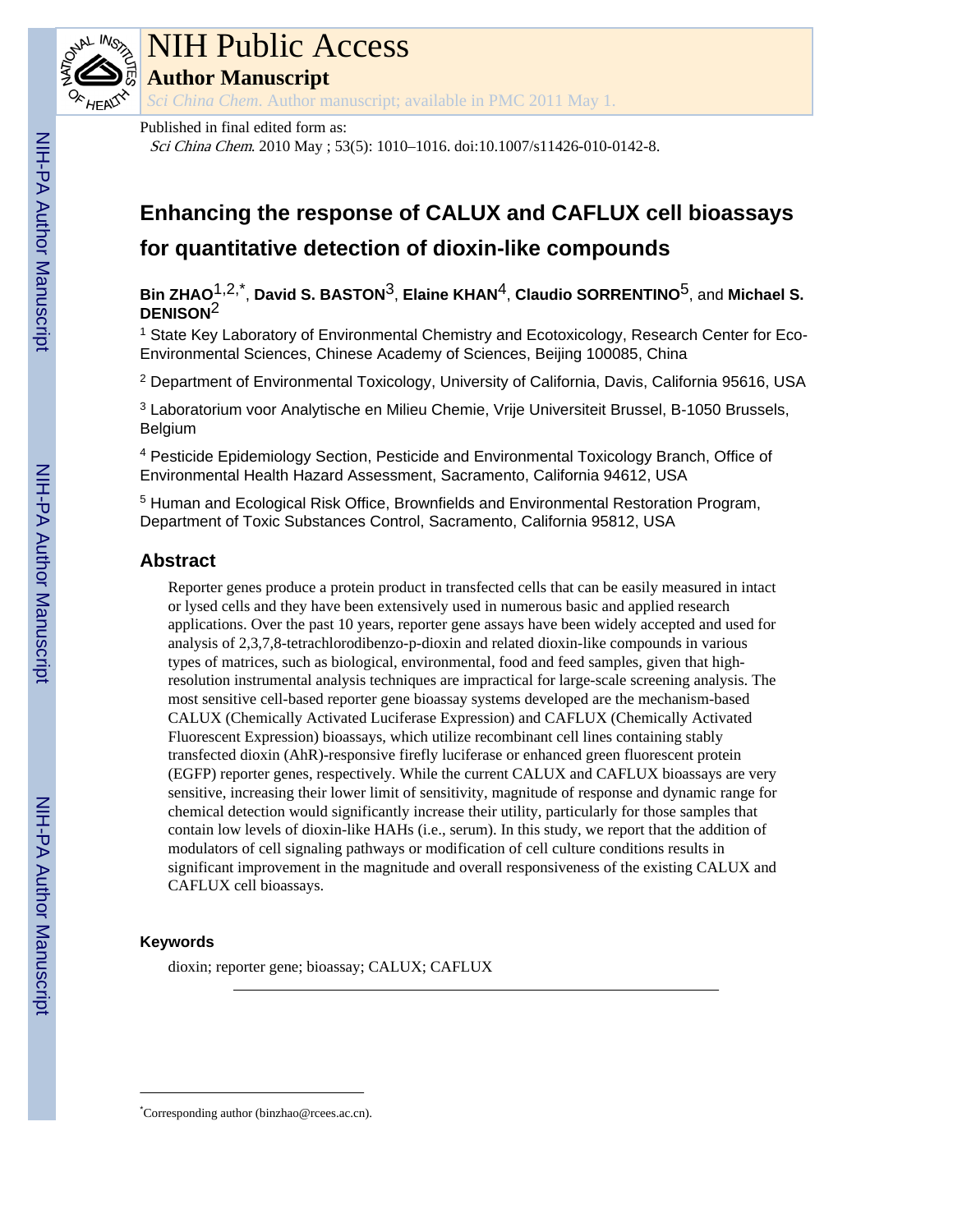

# NIH Public Access

**Author Manuscript**

*Sci China Chem*. Author manuscript; available in PMC 2011 May 1.

Sci China Chem. 2010 May ; 53(5): 1010–1016. doi:10.1007/s11426-010-0142-8.

# **Enhancing the response of CALUX and CAFLUX cell bioassays for quantitative detection of dioxin-like compounds**

**Bin ZHAO**1,2,\* , **David S. BASTON**3, **Elaine KHAN**4, **Claudio SORRENTINO**5, and **Michael S. DENISON**2

<sup>1</sup> State Key Laboratory of Environmental Chemistry and Ecotoxicology, Research Center for Eco-Environmental Sciences, Chinese Academy of Sciences, Beijing 100085, China

<sup>2</sup> Department of Environmental Toxicology, University of California, Davis, California 95616, USA

<sup>3</sup> Laboratorium voor Analytische en Milieu Chemie, Vrije Universiteit Brussel, B-1050 Brussels, Belgium

<sup>4</sup> Pesticide Epidemiology Section, Pesticide and Environmental Toxicology Branch, Office of Environmental Health Hazard Assessment, Sacramento, California 94612, USA

<sup>5</sup> Human and Ecological Risk Office, Brownfields and Environmental Restoration Program, Department of Toxic Substances Control, Sacramento, California 95812, USA

# **Abstract**

Reporter genes produce a protein product in transfected cells that can be easily measured in intact or lysed cells and they have been extensively used in numerous basic and applied research applications. Over the past 10 years, reporter gene assays have been widely accepted and used for analysis of 2,3,7,8-tetrachlorodibenzo-p-dioxin and related dioxin-like compounds in various types of matrices, such as biological, environmental, food and feed samples, given that highresolution instrumental analysis techniques are impractical for large-scale screening analysis. The most sensitive cell-based reporter gene bioassay systems developed are the mechanism-based CALUX (Chemically Activated Luciferase Expression) and CAFLUX (Chemically Activated Fluorescent Expression) bioassays, which utilize recombinant cell lines containing stably transfected dioxin (AhR)-responsive firefly luciferase or enhanced green fluorescent protein (EGFP) reporter genes, respectively. While the current CALUX and CAFLUX bioassays are very sensitive, increasing their lower limit of sensitivity, magnitude of response and dynamic range for chemical detection would significantly increase their utility, particularly for those samples that contain low levels of dioxin-like HAHs (i.e., serum). In this study, we report that the addition of modulators of cell signaling pathways or modification of cell culture conditions results in significant improvement in the magnitude and overall responsiveness of the existing CALUX and CAFLUX cell bioassays.

# **Keywords**

dioxin; reporter gene; bioassay; CALUX; CAFLUX

<sup>\*</sup>Corresponding author (binzhao@rcees.ac.cn).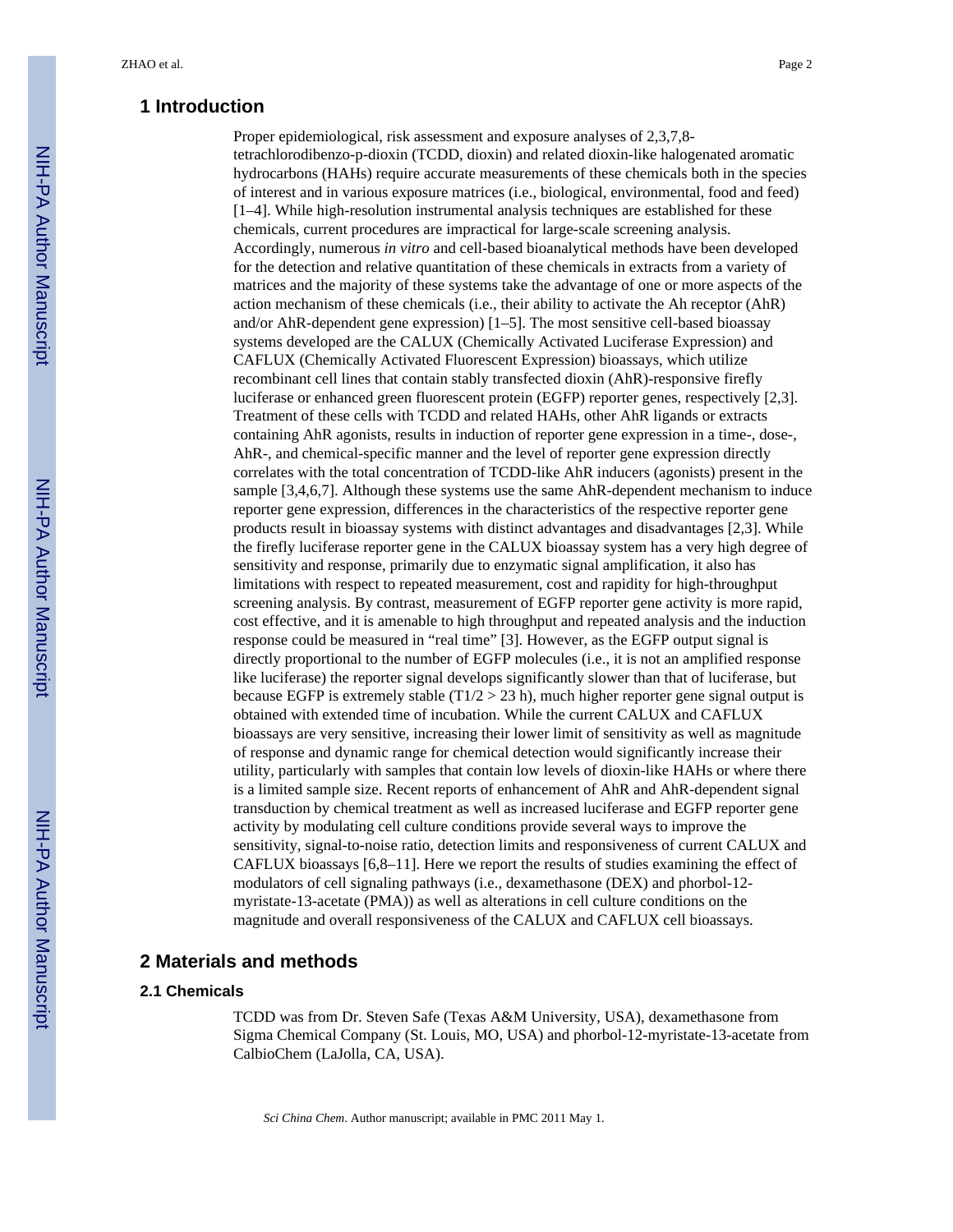#### **1 Introduction**

Proper epidemiological, risk assessment and exposure analyses of 2,3,7,8 tetrachlorodibenzo-p-dioxin (TCDD, dioxin) and related dioxin-like halogenated aromatic hydrocarbons (HAHs) require accurate measurements of these chemicals both in the species of interest and in various exposure matrices (i.e., biological, environmental, food and feed) [1–4]. While high-resolution instrumental analysis techniques are established for these chemicals, current procedures are impractical for large-scale screening analysis. Accordingly, numerous *in vitro* and cell-based bioanalytical methods have been developed for the detection and relative quantitation of these chemicals in extracts from a variety of matrices and the majority of these systems take the advantage of one or more aspects of the action mechanism of these chemicals (i.e., their ability to activate the Ah receptor (AhR) and/or AhR-dependent gene expression) [1–5]. The most sensitive cell-based bioassay systems developed are the CALUX (Chemically Activated Luciferase Expression) and CAFLUX (Chemically Activated Fluorescent Expression) bioassays, which utilize recombinant cell lines that contain stably transfected dioxin (AhR)-responsive firefly luciferase or enhanced green fluorescent protein (EGFP) reporter genes, respectively [2,3]. Treatment of these cells with TCDD and related HAHs, other AhR ligands or extracts containing AhR agonists, results in induction of reporter gene expression in a time-, dose-, AhR-, and chemical-specific manner and the level of reporter gene expression directly correlates with the total concentration of TCDD-like AhR inducers (agonists) present in the sample [3,4,6,7]. Although these systems use the same AhR-dependent mechanism to induce reporter gene expression, differences in the characteristics of the respective reporter gene products result in bioassay systems with distinct advantages and disadvantages [2,3]. While the firefly luciferase reporter gene in the CALUX bioassay system has a very high degree of sensitivity and response, primarily due to enzymatic signal amplification, it also has limitations with respect to repeated measurement, cost and rapidity for high-throughput screening analysis. By contrast, measurement of EGFP reporter gene activity is more rapid, cost effective, and it is amenable to high throughput and repeated analysis and the induction response could be measured in "real time" [3]. However, as the EGFP output signal is directly proportional to the number of EGFP molecules (i.e., it is not an amplified response like luciferase) the reporter signal develops significantly slower than that of luciferase, but because EGFP is extremely stable  $(T1/2 > 23 h)$ , much higher reporter gene signal output is obtained with extended time of incubation. While the current CALUX and CAFLUX bioassays are very sensitive, increasing their lower limit of sensitivity as well as magnitude of response and dynamic range for chemical detection would significantly increase their utility, particularly with samples that contain low levels of dioxin-like HAHs or where there is a limited sample size. Recent reports of enhancement of AhR and AhR-dependent signal transduction by chemical treatment as well as increased luciferase and EGFP reporter gene activity by modulating cell culture conditions provide several ways to improve the sensitivity, signal-to-noise ratio, detection limits and responsiveness of current CALUX and CAFLUX bioassays [6,8–11]. Here we report the results of studies examining the effect of modulators of cell signaling pathways (i.e., dexamethasone (DEX) and phorbol-12 myristate-13-acetate (PMA)) as well as alterations in cell culture conditions on the magnitude and overall responsiveness of the CALUX and CAFLUX cell bioassays.

# **2 Materials and methods**

#### **2.1 Chemicals**

TCDD was from Dr. Steven Safe (Texas A&M University, USA), dexamethasone from Sigma Chemical Company (St. Louis, MO, USA) and phorbol-12-myristate-13-acetate from CalbioChem (LaJolla, CA, USA).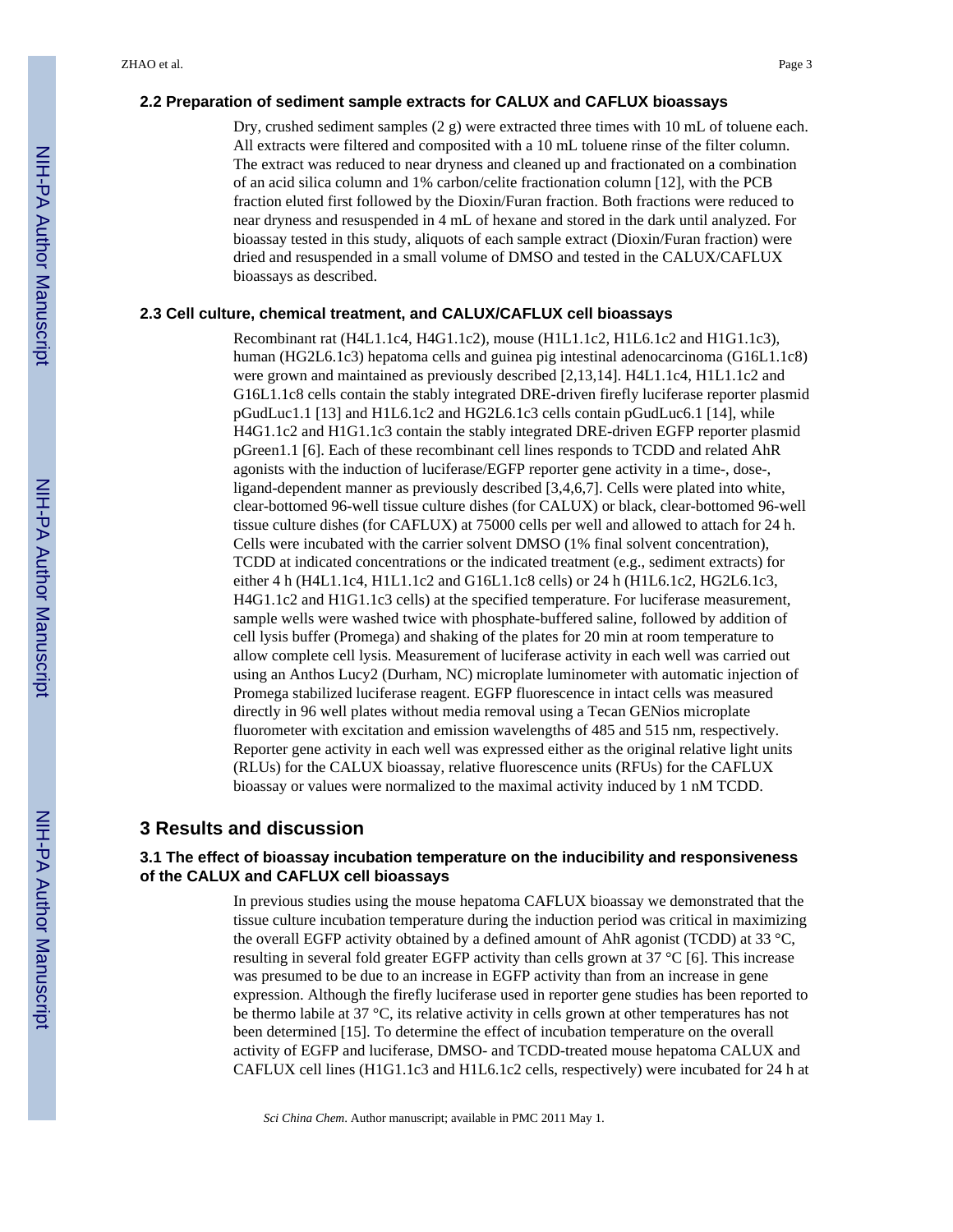#### **2.2 Preparation of sediment sample extracts for CALUX and CAFLUX bioassays**

Dry, crushed sediment samples (2 g) were extracted three times with 10 mL of toluene each. All extracts were filtered and composited with a 10 mL toluene rinse of the filter column. The extract was reduced to near dryness and cleaned up and fractionated on a combination of an acid silica column and 1% carbon/celite fractionation column [12], with the PCB fraction eluted first followed by the Dioxin/Furan fraction. Both fractions were reduced to near dryness and resuspended in 4 mL of hexane and stored in the dark until analyzed. For bioassay tested in this study, aliquots of each sample extract (Dioxin/Furan fraction) were dried and resuspended in a small volume of DMSO and tested in the CALUX/CAFLUX bioassays as described.

#### **2.3 Cell culture, chemical treatment, and CALUX/CAFLUX cell bioassays**

Recombinant rat (H4L1.1c4, H4G1.1c2), mouse (H1L1.1c2, H1L6.1c2 and H1G1.1c3), human (HG2L6.1c3) hepatoma cells and guinea pig intestinal adenocarcinoma (G16L1.1c8) were grown and maintained as previously described [2,13,14]. H4L1.1c4, H1L1.1c2 and G16L1.1c8 cells contain the stably integrated DRE-driven firefly luciferase reporter plasmid pGudLuc1.1 [13] and H1L6.1c2 and HG2L6.1c3 cells contain pGudLuc6.1 [14], while H4G1.1c2 and H1G1.1c3 contain the stably integrated DRE-driven EGFP reporter plasmid pGreen1.1 [6]. Each of these recombinant cell lines responds to TCDD and related AhR agonists with the induction of luciferase/EGFP reporter gene activity in a time-, dose-, ligand-dependent manner as previously described [3,4,6,7]. Cells were plated into white, clear-bottomed 96-well tissue culture dishes (for CALUX) or black, clear-bottomed 96-well tissue culture dishes (for CAFLUX) at 75000 cells per well and allowed to attach for 24 h. Cells were incubated with the carrier solvent DMSO (1% final solvent concentration), TCDD at indicated concentrations or the indicated treatment (e.g., sediment extracts) for either 4 h (H4L1.1c4, H1L1.1c2 and G16L1.1c8 cells) or 24 h (H1L6.1c2, HG2L6.1c3, H4G1.1c2 and H1G1.1c3 cells) at the specified temperature. For luciferase measurement, sample wells were washed twice with phosphate-buffered saline, followed by addition of cell lysis buffer (Promega) and shaking of the plates for 20 min at room temperature to allow complete cell lysis. Measurement of luciferase activity in each well was carried out using an Anthos Lucy2 (Durham, NC) microplate luminometer with automatic injection of Promega stabilized luciferase reagent. EGFP fluorescence in intact cells was measured directly in 96 well plates without media removal using a Tecan GENios microplate fluorometer with excitation and emission wavelengths of 485 and 515 nm, respectively. Reporter gene activity in each well was expressed either as the original relative light units (RLUs) for the CALUX bioassay, relative fluorescence units (RFUs) for the CAFLUX bioassay or values were normalized to the maximal activity induced by 1 nM TCDD.

#### **3 Results and discussion**

#### **3.1 The effect of bioassay incubation temperature on the inducibility and responsiveness of the CALUX and CAFLUX cell bioassays**

In previous studies using the mouse hepatoma CAFLUX bioassay we demonstrated that the tissue culture incubation temperature during the induction period was critical in maximizing the overall EGFP activity obtained by a defined amount of AhR agonist (TCDD) at 33 °C, resulting in several fold greater EGFP activity than cells grown at 37 °C [6]. This increase was presumed to be due to an increase in EGFP activity than from an increase in gene expression. Although the firefly luciferase used in reporter gene studies has been reported to be thermo labile at 37 °C, its relative activity in cells grown at other temperatures has not been determined [15]. To determine the effect of incubation temperature on the overall activity of EGFP and luciferase, DMSO- and TCDD-treated mouse hepatoma CALUX and CAFLUX cell lines (H1G1.1c3 and H1L6.1c2 cells, respectively) were incubated for 24 h at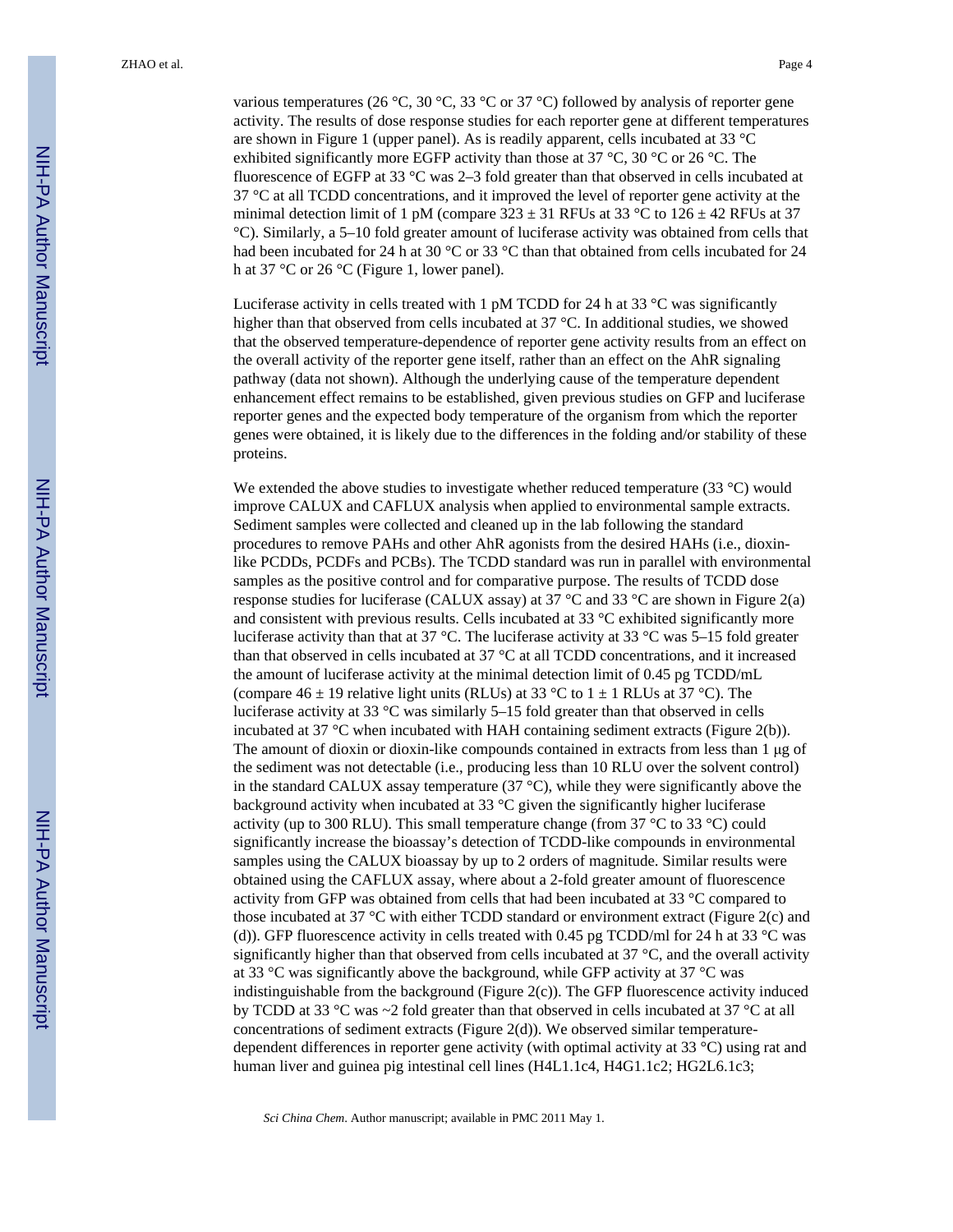various temperatures (26 °C, 30 °C, 33 °C or 37 °C) followed by analysis of reporter gene activity. The results of dose response studies for each reporter gene at different temperatures are shown in Figure 1 (upper panel). As is readily apparent, cells incubated at 33 °C exhibited significantly more EGFP activity than those at 37  $\degree$ C, 30  $\degree$ C or 26  $\degree$ C. The fluorescence of EGFP at 33 °C was 2–3 fold greater than that observed in cells incubated at 37 °C at all TCDD concentrations, and it improved the level of reporter gene activity at the minimal detection limit of 1 pM (compare  $323 \pm 31$  RFUs at 33 °C to  $126 \pm 42$  RFUs at 37 °C). Similarly, a 5–10 fold greater amount of luciferase activity was obtained from cells that had been incubated for 24 h at 30 °C or 33 °C than that obtained from cells incubated for 24 h at 37 °C or 26 °C (Figure 1, lower panel).

Luciferase activity in cells treated with 1 pM TCDD for 24 h at 33  $\degree$ C was significantly higher than that observed from cells incubated at 37 °C. In additional studies, we showed that the observed temperature-dependence of reporter gene activity results from an effect on the overall activity of the reporter gene itself, rather than an effect on the AhR signaling pathway (data not shown). Although the underlying cause of the temperature dependent enhancement effect remains to be established, given previous studies on GFP and luciferase reporter genes and the expected body temperature of the organism from which the reporter genes were obtained, it is likely due to the differences in the folding and/or stability of these proteins.

We extended the above studies to investigate whether reduced temperature (33 °C) would improve CALUX and CAFLUX analysis when applied to environmental sample extracts. Sediment samples were collected and cleaned up in the lab following the standard procedures to remove PAHs and other AhR agonists from the desired HAHs (i.e., dioxinlike PCDDs, PCDFs and PCBs). The TCDD standard was run in parallel with environmental samples as the positive control and for comparative purpose. The results of TCDD dose response studies for luciferase (CALUX assay) at 37 °C and 33 °C are shown in Figure 2(a) and consistent with previous results. Cells incubated at  $33 \degree C$  exhibited significantly more luciferase activity than that at 37 °C. The luciferase activity at 33 °C was 5–15 fold greater than that observed in cells incubated at 37 °C at all TCDD concentrations, and it increased the amount of luciferase activity at the minimal detection limit of 0.45 pg TCDD/mL (compare  $46 \pm 19$  relative light units (RLUs) at 33 °C to  $1 \pm 1$  RLUs at 37 °C). The luciferase activity at 33 °C was similarly 5–15 fold greater than that observed in cells incubated at 37 °C when incubated with HAH containing sediment extracts (Figure 2(b)). The amount of dioxin or dioxin-like compounds contained in extracts from less than 1 μg of the sediment was not detectable (i.e., producing less than 10 RLU over the solvent control) in the standard CALUX assay temperature  $(37 \text{ °C})$ , while they were significantly above the background activity when incubated at 33 °C given the significantly higher luciferase activity (up to 300 RLU). This small temperature change (from  $37^{\circ}$ C to  $33^{\circ}$ C) could significantly increase the bioassay's detection of TCDD-like compounds in environmental samples using the CALUX bioassay by up to 2 orders of magnitude. Similar results were obtained using the CAFLUX assay, where about a 2-fold greater amount of fluorescence activity from GFP was obtained from cells that had been incubated at 33 °C compared to those incubated at 37 °C with either TCDD standard or environment extract (Figure 2(c) and (d)). GFP fluorescence activity in cells treated with 0.45 pg TCDD/ml for 24 h at 33  $^{\circ}$ C was significantly higher than that observed from cells incubated at 37 °C, and the overall activity at 33 °C was significantly above the background, while GFP activity at 37 °C was indistinguishable from the background (Figure 2(c)). The GFP fluorescence activity induced by TCDD at 33 °C was ~2 fold greater than that observed in cells incubated at 37 °C at all concentrations of sediment extracts (Figure 2(d)). We observed similar temperaturedependent differences in reporter gene activity (with optimal activity at 33 °C) using rat and human liver and guinea pig intestinal cell lines (H4L1.1c4, H4G1.1c2; HG2L6.1c3;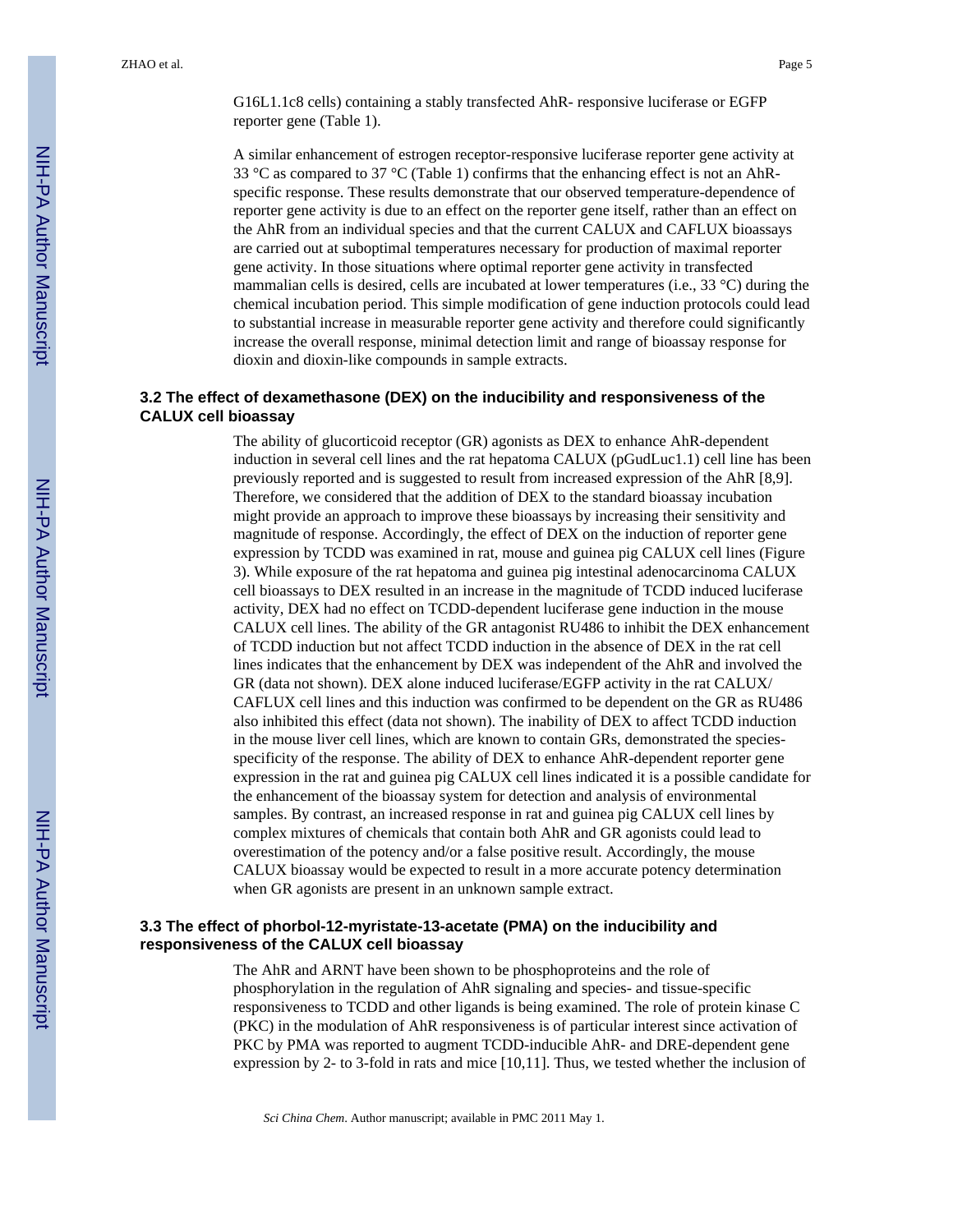G16L1.1c8 cells) containing a stably transfected AhR- responsive luciferase or EGFP reporter gene (Table 1).

A similar enhancement of estrogen receptor-responsive luciferase reporter gene activity at 33 °C as compared to 37 °C (Table 1) confirms that the enhancing effect is not an AhRspecific response. These results demonstrate that our observed temperature-dependence of reporter gene activity is due to an effect on the reporter gene itself, rather than an effect on the AhR from an individual species and that the current CALUX and CAFLUX bioassays are carried out at suboptimal temperatures necessary for production of maximal reporter gene activity. In those situations where optimal reporter gene activity in transfected mammalian cells is desired, cells are incubated at lower temperatures (i.e., 33 °C) during the chemical incubation period. This simple modification of gene induction protocols could lead to substantial increase in measurable reporter gene activity and therefore could significantly increase the overall response, minimal detection limit and range of bioassay response for dioxin and dioxin-like compounds in sample extracts.

#### **3.2 The effect of dexamethasone (DEX) on the inducibility and responsiveness of the CALUX cell bioassay**

The ability of glucorticoid receptor (GR) agonists as DEX to enhance AhR-dependent induction in several cell lines and the rat hepatoma CALUX (pGudLuc1.1) cell line has been previously reported and is suggested to result from increased expression of the AhR [8,9]. Therefore, we considered that the addition of DEX to the standard bioassay incubation might provide an approach to improve these bioassays by increasing their sensitivity and magnitude of response. Accordingly, the effect of DEX on the induction of reporter gene expression by TCDD was examined in rat, mouse and guinea pig CALUX cell lines (Figure 3). While exposure of the rat hepatoma and guinea pig intestinal adenocarcinoma CALUX cell bioassays to DEX resulted in an increase in the magnitude of TCDD induced luciferase activity, DEX had no effect on TCDD-dependent luciferase gene induction in the mouse CALUX cell lines. The ability of the GR antagonist RU486 to inhibit the DEX enhancement of TCDD induction but not affect TCDD induction in the absence of DEX in the rat cell lines indicates that the enhancement by DEX was independent of the AhR and involved the GR (data not shown). DEX alone induced luciferase/EGFP activity in the rat CALUX/ CAFLUX cell lines and this induction was confirmed to be dependent on the GR as RU486 also inhibited this effect (data not shown). The inability of DEX to affect TCDD induction in the mouse liver cell lines, which are known to contain GRs, demonstrated the speciesspecificity of the response. The ability of DEX to enhance AhR-dependent reporter gene expression in the rat and guinea pig CALUX cell lines indicated it is a possible candidate for the enhancement of the bioassay system for detection and analysis of environmental samples. By contrast, an increased response in rat and guinea pig CALUX cell lines by complex mixtures of chemicals that contain both AhR and GR agonists could lead to overestimation of the potency and/or a false positive result. Accordingly, the mouse CALUX bioassay would be expected to result in a more accurate potency determination when GR agonists are present in an unknown sample extract.

#### **3.3 The effect of phorbol-12-myristate-13-acetate (PMA) on the inducibility and responsiveness of the CALUX cell bioassay**

The AhR and ARNT have been shown to be phosphoproteins and the role of phosphorylation in the regulation of AhR signaling and species- and tissue-specific responsiveness to TCDD and other ligands is being examined. The role of protein kinase C (PKC) in the modulation of AhR responsiveness is of particular interest since activation of PKC by PMA was reported to augment TCDD-inducible AhR- and DRE-dependent gene expression by 2- to 3-fold in rats and mice [10,11]. Thus, we tested whether the inclusion of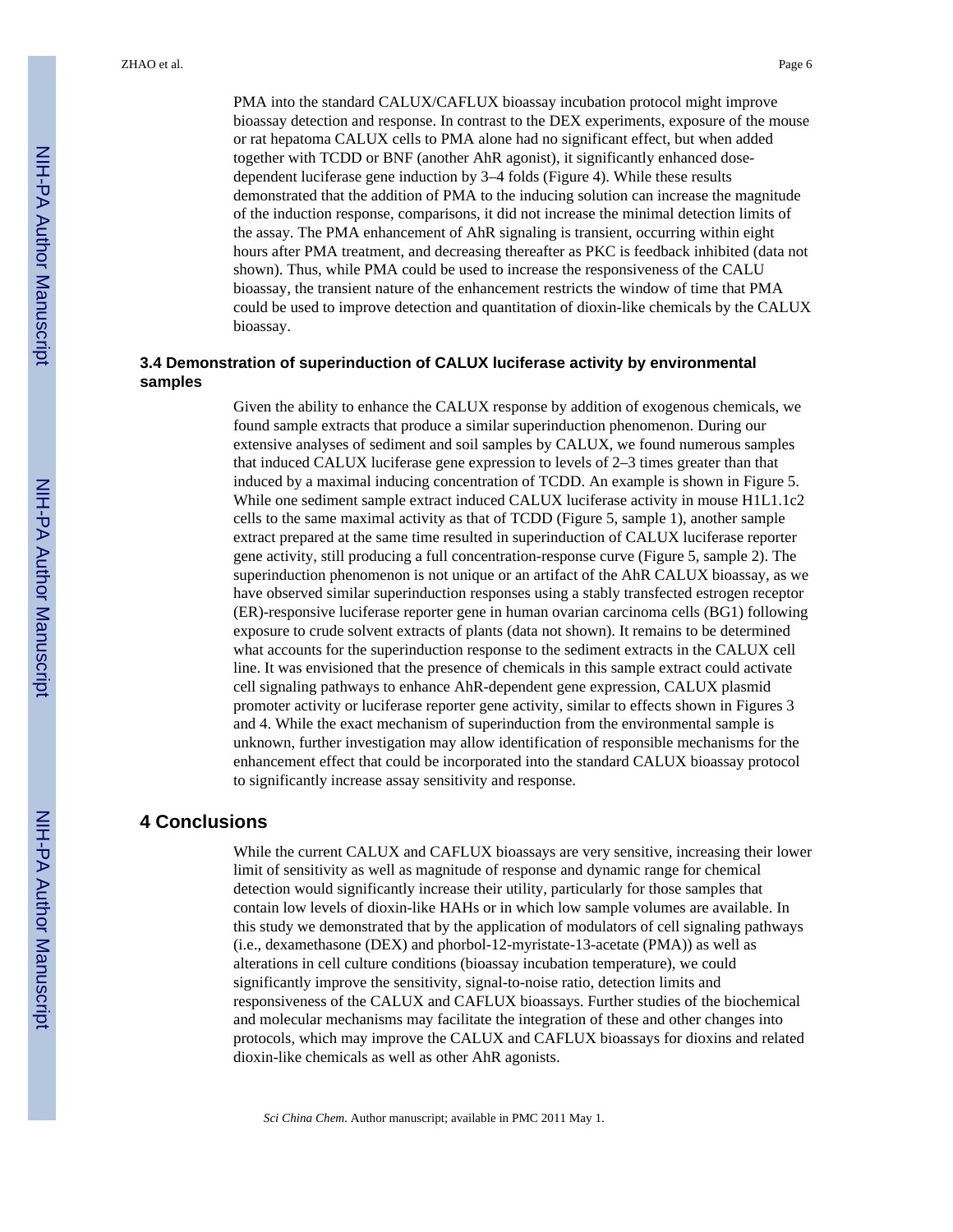PMA into the standard CALUX/CAFLUX bioassay incubation protocol might improve bioassay detection and response. In contrast to the DEX experiments, exposure of the mouse or rat hepatoma CALUX cells to PMA alone had no significant effect, but when added together with TCDD or BNF (another AhR agonist), it significantly enhanced dosedependent luciferase gene induction by 3–4 folds (Figure 4). While these results demonstrated that the addition of PMA to the inducing solution can increase the magnitude of the induction response, comparisons, it did not increase the minimal detection limits of the assay. The PMA enhancement of AhR signaling is transient, occurring within eight hours after PMA treatment, and decreasing thereafter as PKC is feedback inhibited (data not shown). Thus, while PMA could be used to increase the responsiveness of the CALU bioassay, the transient nature of the enhancement restricts the window of time that PMA could be used to improve detection and quantitation of dioxin-like chemicals by the CALUX bioassay.

# **3.4 Demonstration of superinduction of CALUX luciferase activity by environmental samples**

Given the ability to enhance the CALUX response by addition of exogenous chemicals, we found sample extracts that produce a similar superinduction phenomenon. During our extensive analyses of sediment and soil samples by CALUX, we found numerous samples that induced CALUX luciferase gene expression to levels of 2–3 times greater than that induced by a maximal inducing concentration of TCDD. An example is shown in Figure 5. While one sediment sample extract induced CALUX luciferase activity in mouse H1L1.1c2 cells to the same maximal activity as that of TCDD (Figure 5, sample 1), another sample extract prepared at the same time resulted in superinduction of CALUX luciferase reporter gene activity, still producing a full concentration-response curve (Figure 5, sample 2). The superinduction phenomenon is not unique or an artifact of the AhR CALUX bioassay, as we have observed similar superinduction responses using a stably transfected estrogen receptor (ER)-responsive luciferase reporter gene in human ovarian carcinoma cells (BG1) following exposure to crude solvent extracts of plants (data not shown). It remains to be determined what accounts for the superinduction response to the sediment extracts in the CALUX cell line. It was envisioned that the presence of chemicals in this sample extract could activate cell signaling pathways to enhance AhR-dependent gene expression, CALUX plasmid promoter activity or luciferase reporter gene activity, similar to effects shown in Figures 3 and 4. While the exact mechanism of superinduction from the environmental sample is unknown, further investigation may allow identification of responsible mechanisms for the enhancement effect that could be incorporated into the standard CALUX bioassay protocol to significantly increase assay sensitivity and response.

## **4 Conclusions**

While the current CALUX and CAFLUX bioassays are very sensitive, increasing their lower limit of sensitivity as well as magnitude of response and dynamic range for chemical detection would significantly increase their utility, particularly for those samples that contain low levels of dioxin-like HAHs or in which low sample volumes are available. In this study we demonstrated that by the application of modulators of cell signaling pathways (i.e., dexamethasone (DEX) and phorbol-12-myristate-13-acetate (PMA)) as well as alterations in cell culture conditions (bioassay incubation temperature), we could significantly improve the sensitivity, signal-to-noise ratio, detection limits and responsiveness of the CALUX and CAFLUX bioassays. Further studies of the biochemical and molecular mechanisms may facilitate the integration of these and other changes into protocols, which may improve the CALUX and CAFLUX bioassays for dioxins and related dioxin-like chemicals as well as other AhR agonists.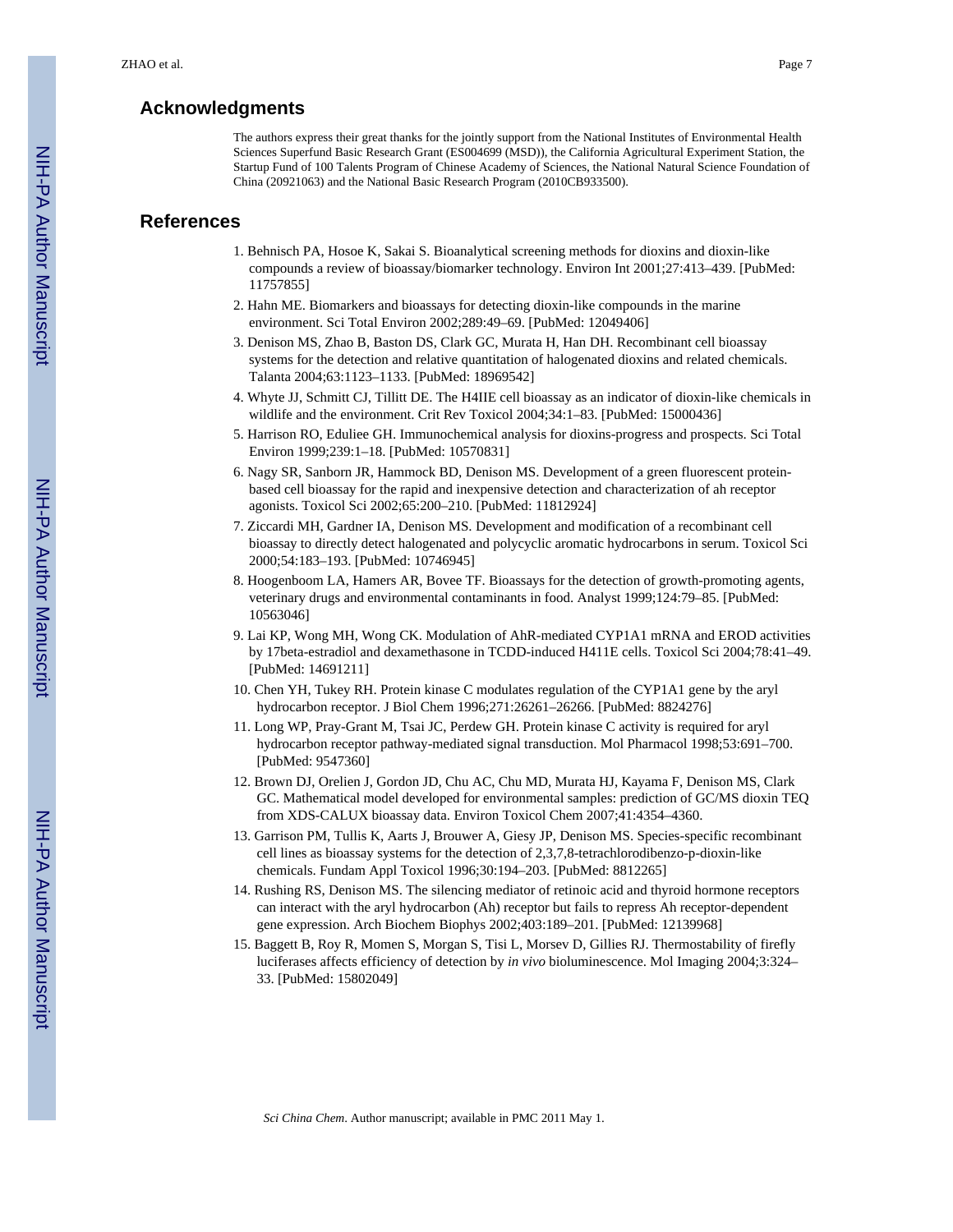# **Acknowledgments**

The authors express their great thanks for the jointly support from the National Institutes of Environmental Health Sciences Superfund Basic Research Grant (ES004699 (MSD)), the California Agricultural Experiment Station, the Startup Fund of 100 Talents Program of Chinese Academy of Sciences, the National Natural Science Foundation of China (20921063) and the National Basic Research Program (2010CB933500).

# **References**

- 1. Behnisch PA, Hosoe K, Sakai S. Bioanalytical screening methods for dioxins and dioxin-like compounds a review of bioassay/biomarker technology. Environ Int 2001;27:413–439. [PubMed: 11757855]
- 2. Hahn ME. Biomarkers and bioassays for detecting dioxin-like compounds in the marine environment. Sci Total Environ 2002;289:49–69. [PubMed: 12049406]
- 3. Denison MS, Zhao B, Baston DS, Clark GC, Murata H, Han DH. Recombinant cell bioassay systems for the detection and relative quantitation of halogenated dioxins and related chemicals. Talanta 2004;63:1123–1133. [PubMed: 18969542]
- 4. Whyte JJ, Schmitt CJ, Tillitt DE. The H4IIE cell bioassay as an indicator of dioxin-like chemicals in wildlife and the environment. Crit Rev Toxicol 2004;34:1–83. [PubMed: 15000436]
- 5. Harrison RO, Eduliee GH. Immunochemical analysis for dioxins-progress and prospects. Sci Total Environ 1999;239:1–18. [PubMed: 10570831]
- 6. Nagy SR, Sanborn JR, Hammock BD, Denison MS. Development of a green fluorescent proteinbased cell bioassay for the rapid and inexpensive detection and characterization of ah receptor agonists. Toxicol Sci 2002;65:200–210. [PubMed: 11812924]
- 7. Ziccardi MH, Gardner IA, Denison MS. Development and modification of a recombinant cell bioassay to directly detect halogenated and polycyclic aromatic hydrocarbons in serum. Toxicol Sci 2000;54:183–193. [PubMed: 10746945]
- 8. Hoogenboom LA, Hamers AR, Bovee TF. Bioassays for the detection of growth-promoting agents, veterinary drugs and environmental contaminants in food. Analyst 1999;124:79–85. [PubMed: 10563046]
- 9. Lai KP, Wong MH, Wong CK. Modulation of AhR-mediated CYP1A1 mRNA and EROD activities by 17beta-estradiol and dexamethasone in TCDD-induced H411E cells. Toxicol Sci 2004;78:41–49. [PubMed: 14691211]
- 10. Chen YH, Tukey RH. Protein kinase C modulates regulation of the CYP1A1 gene by the aryl hydrocarbon receptor. J Biol Chem 1996;271:26261–26266. [PubMed: 8824276]
- 11. Long WP, Pray-Grant M, Tsai JC, Perdew GH. Protein kinase C activity is required for aryl hydrocarbon receptor pathway-mediated signal transduction. Mol Pharmacol 1998;53:691–700. [PubMed: 9547360]
- 12. Brown DJ, Orelien J, Gordon JD, Chu AC, Chu MD, Murata HJ, Kayama F, Denison MS, Clark GC. Mathematical model developed for environmental samples: prediction of GC/MS dioxin TEQ from XDS-CALUX bioassay data. Environ Toxicol Chem 2007;41:4354–4360.
- 13. Garrison PM, Tullis K, Aarts J, Brouwer A, Giesy JP, Denison MS. Species-specific recombinant cell lines as bioassay systems for the detection of 2,3,7,8-tetrachlorodibenzo-p-dioxin-like chemicals. Fundam Appl Toxicol 1996;30:194–203. [PubMed: 8812265]
- 14. Rushing RS, Denison MS. The silencing mediator of retinoic acid and thyroid hormone receptors can interact with the aryl hydrocarbon (Ah) receptor but fails to repress Ah receptor-dependent gene expression. Arch Biochem Biophys 2002;403:189–201. [PubMed: 12139968]
- 15. Baggett B, Roy R, Momen S, Morgan S, Tisi L, Morsev D, Gillies RJ. Thermostability of firefly luciferases affects efficiency of detection by *in vivo* bioluminescence. Mol Imaging 2004;3:324– 33. [PubMed: 15802049]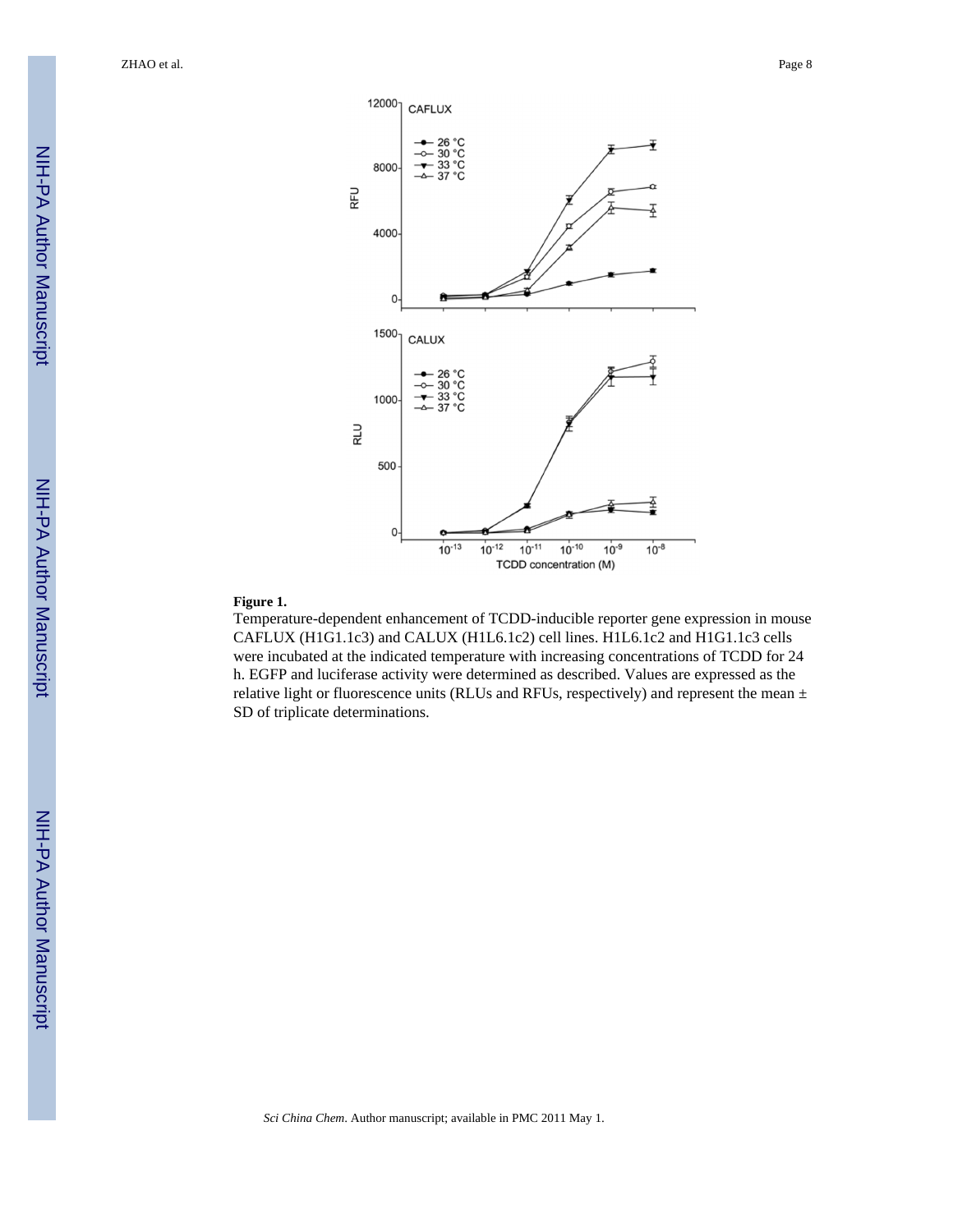ZHAO et al. Page 8



#### **Figure 1.**

Temperature-dependent enhancement of TCDD-inducible reporter gene expression in mouse CAFLUX (H1G1.1c3) and CALUX (H1L6.1c2) cell lines. H1L6.1c2 and H1G1.1c3 cells were incubated at the indicated temperature with increasing concentrations of TCDD for 24 h. EGFP and luciferase activity were determined as described. Values are expressed as the relative light or fluorescence units (RLUs and RFUs, respectively) and represent the mean ± SD of triplicate determinations.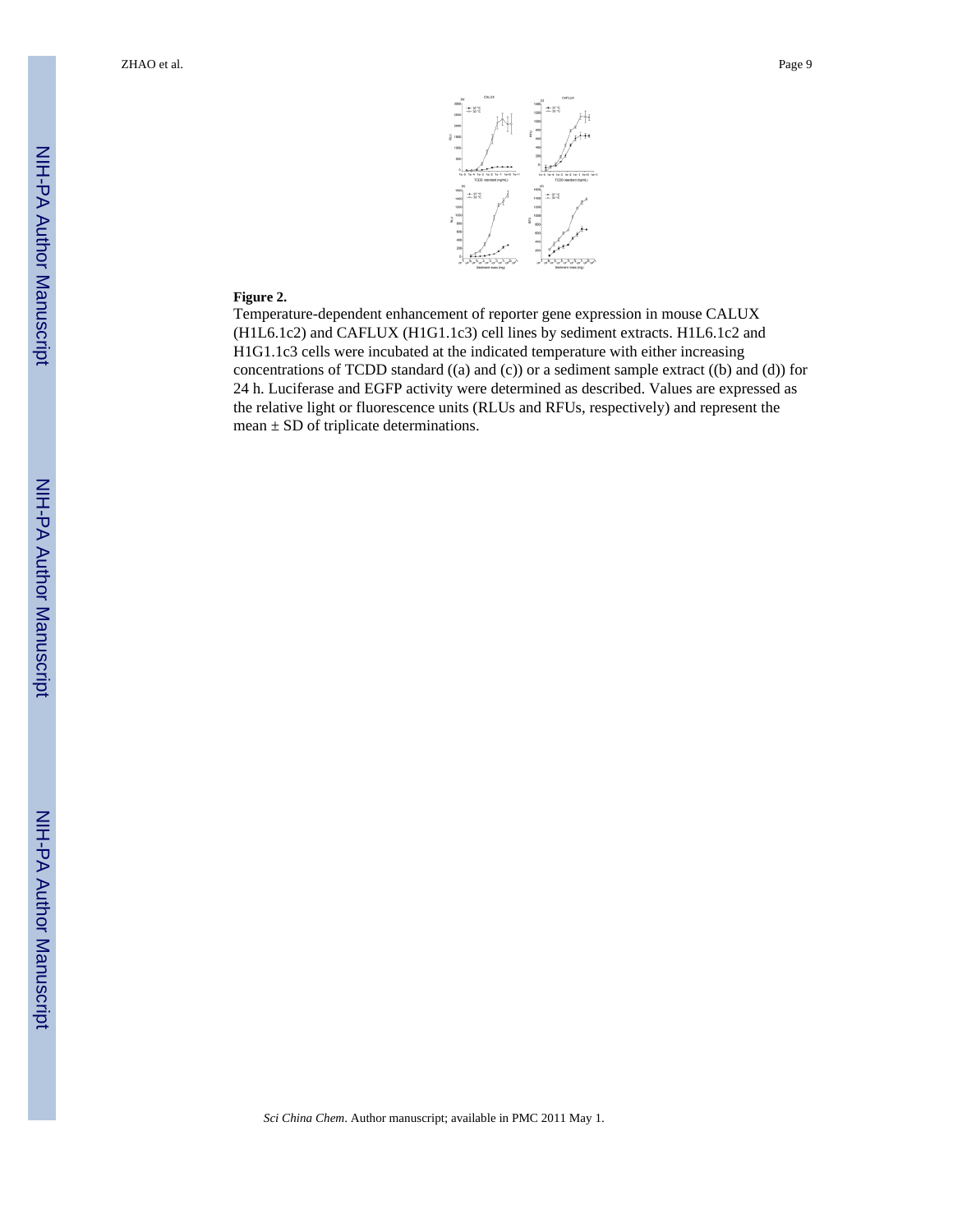

#### **Figure 2.**

Temperature-dependent enhancement of reporter gene expression in mouse CALUX (H1L6.1c2) and CAFLUX (H1G1.1c3) cell lines by sediment extracts. H1L6.1c2 and H1G1.1c3 cells were incubated at the indicated temperature with either increasing concentrations of TCDD standard ((a) and (c)) or a sediment sample extract ((b) and (d)) for 24 h. Luciferase and EGFP activity were determined as described. Values are expressed as the relative light or fluorescence units (RLUs and RFUs, respectively) and represent the mean  $\pm$  SD of triplicate determinations.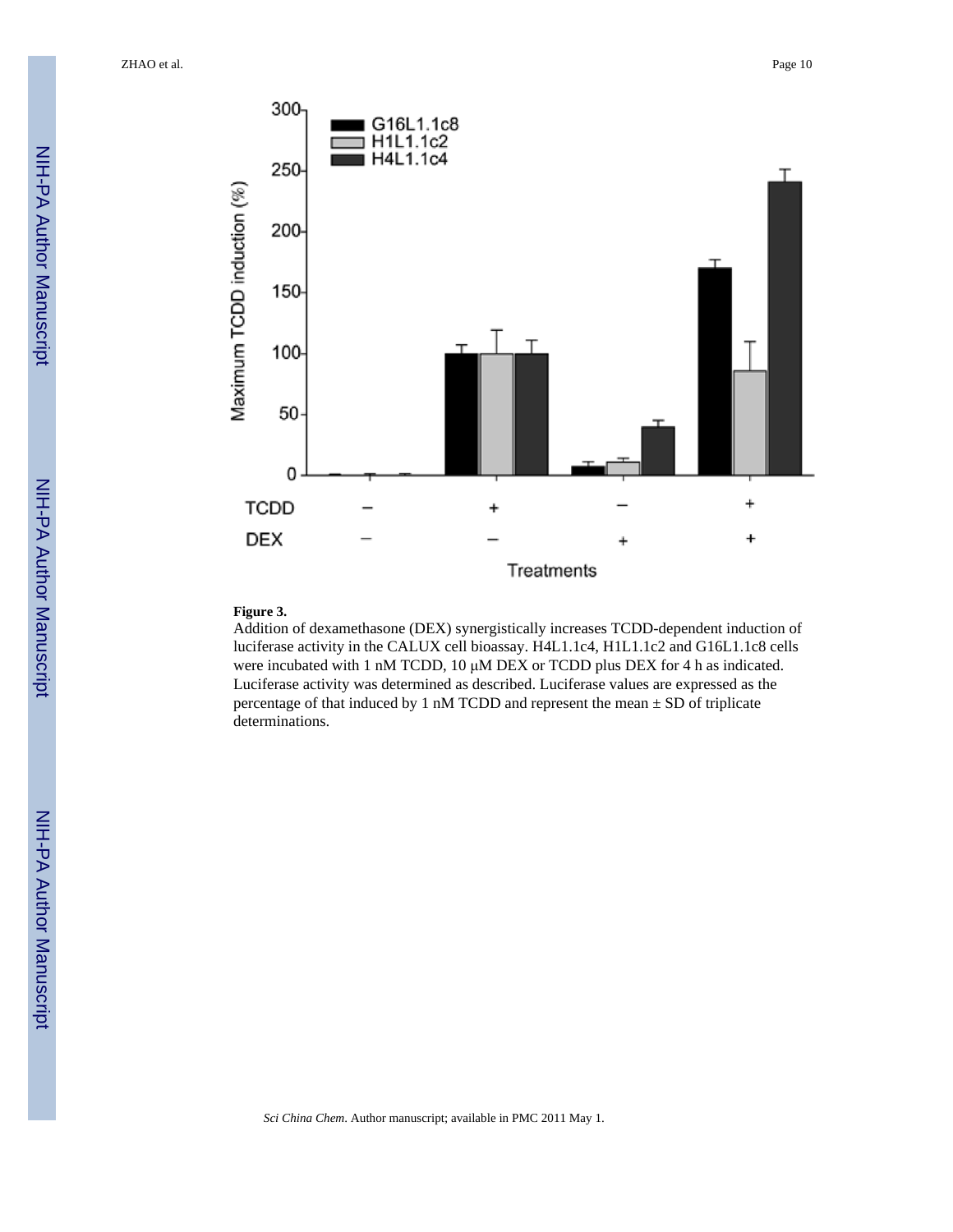ZHAO et al. Page 10





#### **Figure 3.**

Addition of dexamethasone (DEX) synergistically increases TCDD-dependent induction of luciferase activity in the CALUX cell bioassay. H4L1.1c4, H1L1.1c2 and G16L1.1c8 cells were incubated with 1 nM TCDD, 10 μM DEX or TCDD plus DEX for 4 h as indicated. Luciferase activity was determined as described. Luciferase values are expressed as the percentage of that induced by 1 nM TCDD and represent the mean  $\pm$  SD of triplicate determinations.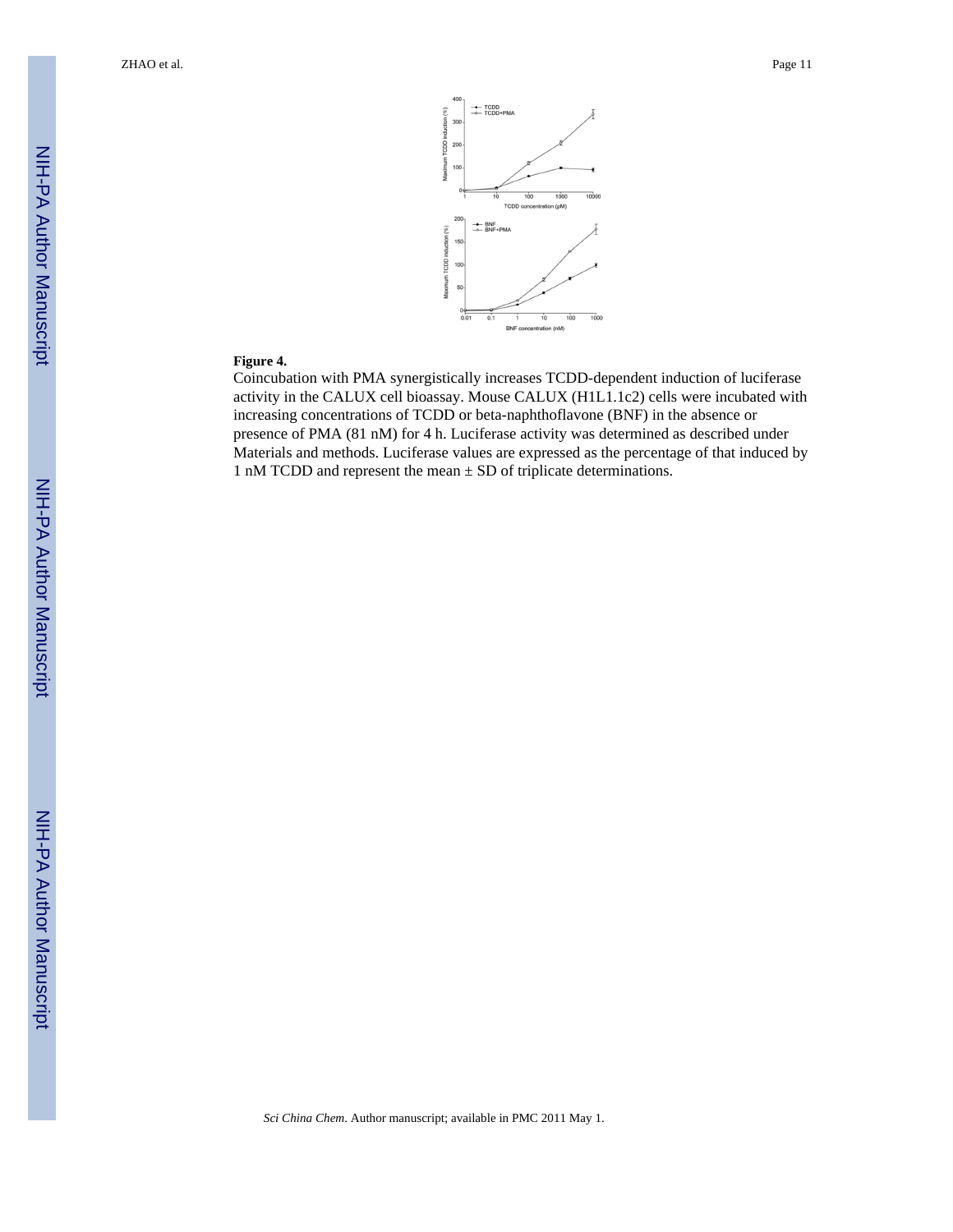

#### **Figure 4.**

Coincubation with PMA synergistically increases TCDD-dependent induction of luciferase activity in the CALUX cell bioassay. Mouse CALUX (H1L1.1c2) cells were incubated with increasing concentrations of TCDD or beta-naphthoflavone (BNF) in the absence or presence of PMA (81 nM) for 4 h. Luciferase activity was determined as described under Materials and methods. Luciferase values are expressed as the percentage of that induced by 1 nM TCDD and represent the mean  $\pm$  SD of triplicate determinations.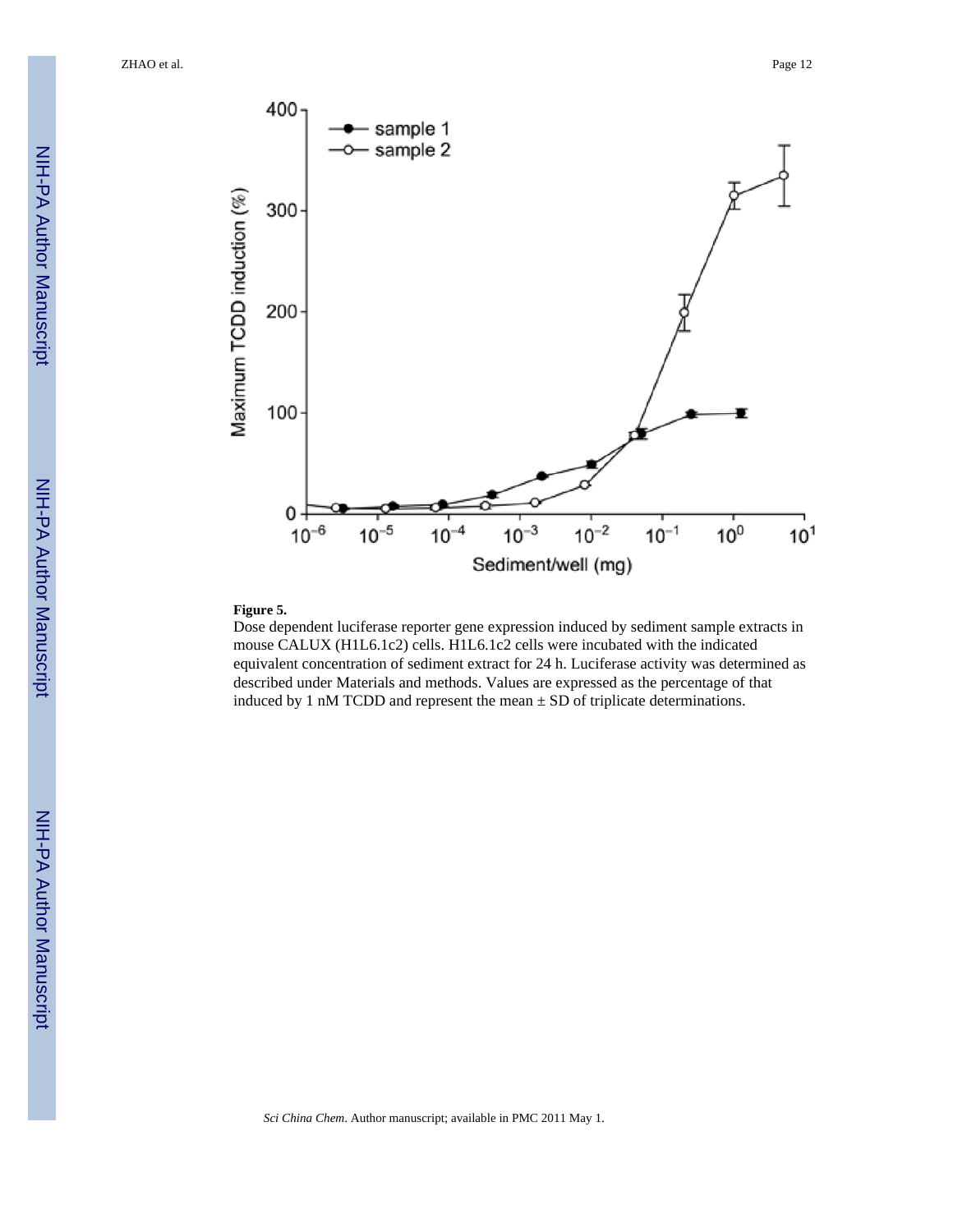ZHAO et al. Page 12



#### **Figure 5.**

Dose dependent luciferase reporter gene expression induced by sediment sample extracts in mouse CALUX (H1L6.1c2) cells. H1L6.1c2 cells were incubated with the indicated equivalent concentration of sediment extract for 24 h. Luciferase activity was determined as described under Materials and methods. Values are expressed as the percentage of that induced by 1 nM TCDD and represent the mean  $\pm$  SD of triplicate determinations.